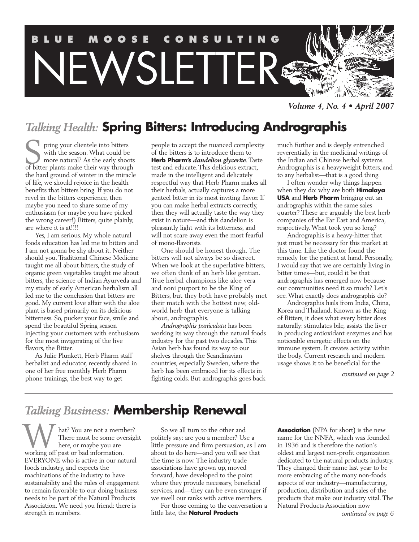

*Volume 4, No. 4 • April 2007*

### *Talking Health:* **Spring Bitters: Introducing Andrographis**

pring your clientele into bitters with the season. What could be more natural? As the early shoots of pring your clientele into bitters<br>with the season. What could be<br>more natural? As the early shoot:<br>of bitter plants make their way through the hard ground of winter in the miracle of life, we should rejoice in the health benefits that bitters bring. If you do not revel in the bitters experience, then maybe you need to share some of my enthusiasm (or maybe you have picked the wrong career!) Bitters, quite plainly, are where it is at!!!!

Yes, I am serious. My whole natural foods education has led me to bitters and I am not gonna be shy about it. Neither should you. Traditional Chinese Medicine taught me all about bitters, the study of organic green vegetables taught me about bitters, the science of Indian Ayurveda and my study of early American herbalism all led me to the conclusion that bitters are good. My current love affair with the aloe plant is based primarily on its delicious bitterness. So, pucker your face, smile and spend the beautiful Spring season injecting your customers with enthusiasm for the most invigorating of the five flavors, the Bitter.

As Julie Plunkett, Herb Pharm staff herbalist and educator, recently shared in one of her free monthly Herb Pharm phone trainings, the best way to get

people to accept the nuanced complexity of the bitters is to introduce them to **Herb Pharm's** *dandelion glycerite*. Taste test and educate. This delicious extract, made in the intelligent and delicately respectful way that Herb Pharm makes all their herbals, actually captures a more genteel bitter in its most inviting flavor. If you can make herbal extracts correctly, then they will actually taste the way they exist in nature—and this dandelion is pleasantly light with its bitterness, and will not scare away even the most fearful of mono-flavorists.

One should be honest though. The bitters will not always be so discreet. When we look at the superlative bitters, we often think of an herb like gentian. True herbal champions like aloe vera and noni purport to be the King of Bitters, but they both have probably met their match with the hottest new, oldworld herb that everyone is talking about, andrographis.

*Andrographis paniculata* has been working its way through the natural foods industry for the past two decades. This Asian herb has found its way to our shelves through the Scandinavian countries, especially Sweden, where the herb has been embraced for its effects in fighting colds. But andrographis goes back much further and is deeply entrenched reverentially in the medicinal writings of the Indian and Chinese herbal systems. Andrographis is a heavyweight bitters, and to any herbalist—that is a good thing.

I often wonder why things happen when they do: why are both **Himalaya USA** and **Herb Pharm** bringing out an andrographis within the same sales quarter? These are arguably the best herb companies of the Far East and America, respectively. What took you so long?

Andrographis is a heavy-hitter that just must be necessary for this market at this time. Like the doctor found the remedy for the patient at hand. Personally, I would say that we are certainly living in bitter times—but, could it be that andrographis has emerged now because our communities need it so much? Let's see. What exactly does andrographis do?

Andrographis hails from India, China, Korea and Thailand. Known as the King of Bitters, it does what every bitter does naturally: stimulates bile, assists the liver in producing antioxidant enzymes and has noticeable energetic effects on the immune system. It creates activity within the body. Current research and modern usage shows it to be beneficial for the

*continued on page 2*

### *Talking Business:* **Membership Renewal**

hat? You are not a member? There must be some oversight here, or maybe you are W hat? You are not a mem<br>There must be some over<br>working off past or bad information. EVERYONE who is active in our natural foods industry, and expects the machinations of the industry to have sustainability and the rules of engagement to remain favorable to our doing business needs to be part of the Natural Products Association. We need you friend: there is strength in numbers.

So we all turn to the other and politely say: are you a member? Use a little pressure and firm persuasion, as I am about to do here—and you will see that the time is now. The industry trade associations have grown up, moved forward, have developed to the point where they provide necessary, beneficial services, and—they can be even stronger if we swell our ranks with active members.

For those coming to the conversation a little late, the **Natural Products**

**Association** (NPA for short) is the new name for the NNFA, which was founded in 1936 and is therefore the nation's oldest and largest non-profit organization dedicated to the natural products industry. They changed their name last year to be more embracing of the many non-foods aspects of our industry—manufacturing, production, distribution and sales of the products that make our industry vital. The Natural Products Association now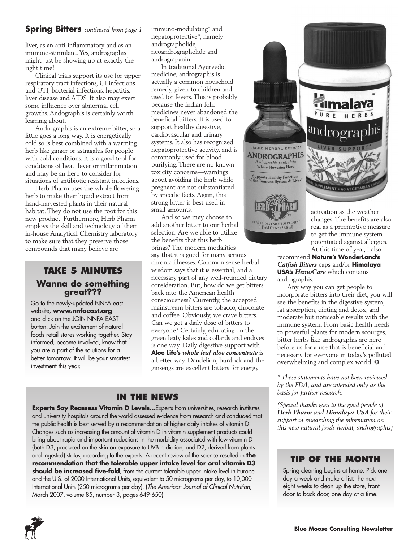### **Spring Bitters** *continued from page 1*

liver, as an anti-inflammatory and as an immuno-stimulant. Yes, andrographis might just be showing up at exactly the right time!

Clinical trials support its use for upper respiratory tract infections, GI infections and UTI, bacterial infections, hepatitis, liver disease and AIDS. It also may exert some influence over abnormal cell growths. Andographis is certainly worth learning about.

Andrographis is an extreme bitter, so a little goes a long way. It is energetically cold so is best combined with a warming herb like ginger or astragalus for people with cold conditions. It is a good tool for conditions of heat, fever or inflammation and may be an herb to consider for situations of antibiotic resistant infections.

Herb Pharm uses the whole flowering herb to make their liquid extract from hand-harvested plants in their natural habitat. They do not use the root for this new product. Furthermore, Herb Pharm employs the skill and technology of their in-house Analytical Chemistry laboratory to make sure that they preserve those compounds that many believe are

### **TAKE 5 MINUTES**

### **Wanna do something great???**

Go to the newly-updated NNFA east website, **www.nnfaeast.org** and click on the JOIN NNFA EAST button. Join the excitement of natural foods retail stores working together. Stay informed, become involved, know that you are a part of the solutions for a better tomorrow. It will be your smartest investment this year.

immuno-modulating\* and hepatoprotective\*, namely andrographolide, neoandrographolide and andrograpanin.

In traditional Ayurvedic medicine, andrographis is actually a common household remedy, given to children and used for fevers. This is probably because the Indian folk medicines never abandoned the beneficial bitters. It is used to support healthy digestive, cardiovascular and urinary systems. It also has recognized hepatoprotective activity, and is commonly used for bloodpurifying. There are no known toxicity concerns—warnings about avoiding the herb while pregnant are not substantiated by specific facts. Again, this strong bitter is best used in small amounts.

And so we may choose to add another bitter to our herbal selection. Are we able to utilize the benefits that this herb brings? The modern modalities say that it is good for many serious chronic illnesses. Common sense herbal wisdom says that it is essential, and a necessary part of any well-rounded dietary consideration. But, how do we get bitters back into the American health consciousness? Currently, the accepted mainstream bitters are tobacco, chocolate and coffee. Obviously, we crave bitters. Can we get a daily dose of bitters to everyone? Certainly, educating on the green leafy kales and collards and endives is one way. Daily digestive support with **Aloe Life's** *whole leaf aloe concentrate* is a better way. Dandelion, burdock and the ginsengs are excellent bitters for energy

### **IN THE NEWS**

**Experts Say Reassess Vitamin D Levels...** Experts from universities, research institutes and university hospitals around the world assessed evidence from research and concluded that the public health is best served by a recommendation of higher daily intakes of vitamin D. Changes such as increasing the amount of vitamin D in vitamin supplement products could bring about rapid and important reductions in the morbidity associated with low vitamin D (both D3, produced on the skin on exposure to UVB radiation, and D2, derived from plants and ingested) status, according to the experts. A recent review of the science resulted in **the recommendation that the tolerable upper intake level for oral vitamin D3** should be increased five-fold, from the current tolerable upper intake level in Europe and the U.S. of 2000 International Units, equivalent to 50 micrograms per day, to 10,000 International Units (250 micrograms per day). (*The American Journal of Clinical Nutrition*; March 2007, volume 85, number 3, pages 649-650)



to get the immune system potentiated against allergies. At this time of year, I also

recommend **Nature's WonderLand's** *Catfish Bitters* caps and/or **Himalaya USA's** *HemoCare* which contains andrographis.

Any way you can get people to incorporate bitters into their diet, you will see the benefits in the digestive system, fat absorption, dieting and detox, and moderate but noticeable results with the immune system. From basic health needs to powerful plants for modern scourges, bitter herbs like andrographis are here before us for a use that is beneficial and necessary for everyone in today's polluted, overwhelming and complex world. ❂

*\* These statements have not been reviewed by the FDA, and are intended only as the basis for further research.*

*(Special thanks goes to the good people of Herb Pharm and Himalaya USA for their support in researching the information on this new natural foods herbal, andrographis)*

### **TIP OF THE MONTH**

Spring cleaning begins at home. Pick one day a week and make a list: the next eight weeks to clean up the store, front door to back door, one day at a time.

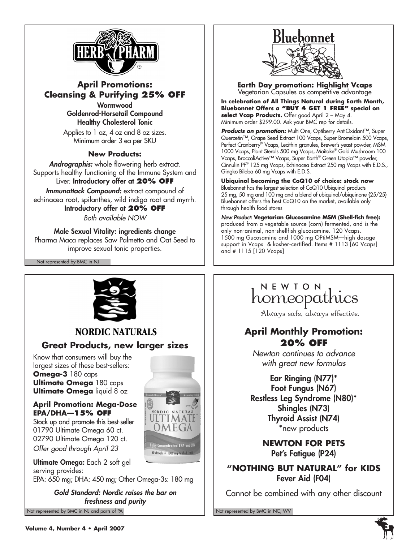

### **April Promotions: Cleansing & Purifying 25% OFF Wormwood**

**Goldenrod-Horsetail Compound Healthy Cholesterol Tonic**

Applies to 1 oz, 4 oz and 8 oz sizes. Minimum order 3 ea per SKU

### **New Products:**

*Andrographis:* whole flowering herb extract. Supports healthy functioning of the Immune System and Liver. **Introductory offer at 20% OFF**

*Immunattack Compound:* extract compound of echinacea root, spilanthes, wild indigo root and myrrh. **Introductory offer at 20% OFF**

*Both available NOW*

**Male Sexual Vitality: ingredients change** Pharma Maca replaces Saw Palmetto and Oat Seed to improve sexual tonic properties.

Not represented by BMC in NJ



### **NORDIC NATURALS**

### **Great Products, new larger sizes**

Know that consumers will buy the largest sizes of these best-sellers: **Omega-3** 180 caps **Ultimate Omega** 180 caps **Ultimate Omega** liquid 8 oz

### **April Promotion: Mega-Dose EPA/DHA—15% OFF**

Stock up and promote this best-seller 01790 Ultimate Omega 60 ct. 02790 Ultimate Omega 120 ct. *Offer good through April 23* 

**Ultimate Omega:** Each 2 soft gel serving provides: EPA: 650 mg; DHA: 450 mg; Other Omega-3s: 180 mg

Not represented by BMC in NJ and parts of PA Not represented by BMC in NC, WV *Gold Standard: Nordic raises the bar on freshness and purity*



# Bluebonnet

**Earth Day promotion: Highlight Vcaps** Vegetarian Capsules as competitive advantage

**In celebration of All Things Natural during Earth Month, Bluebonnet Offers a "BUY 4 GET 1 FREE" special on select Vcap Products.** Offer good April 2 – May 4. Minimum order \$299.00. Ask your BMC rep for details.

**Products on promotion:** Multi One, Optiberry AntiOxidant™, Super Quercetin™, Grape Seed Extract 100 Vcaps, Super Bromelain 500 Vcaps, Perfect Cranberry® Vcaps, Lecithin granules, Brewer's yeast powder, MSM 1000 Vcaps, Plant Sterols 500 mg Vcaps, Maitake® Gold Mushroom 100 Vcaps, BroccoliActive™ Vcaps, Super Earth® Green Utopia™ powder, Cinnulin PF® 125 mg Vcaps, Echinacea Extract 250 mg Vcaps with E.D.S., Gingko Biloba 60 mg Vcaps with E.D.S.

**Ubiquinol becoming the CoQ10 of choice: stock now** Bluebonnet has the largest selection of CoQ10 Ubiquinol products 25 mg, 50 mg and 100 mg and a blend of ubiquinol/ubiquinone {25/25} Bluebonnet offers the best CoQ10 on the market, available only through health food stores

*New Product:* **Vegetarian Glucosamine MSM (Shell-fish free):** produced from a vegetable source (corn) fermented, and is the only non-animal, non-shellfish glucosamine. 120 Vcaps. 1500 mg Gucosamine and 1000 mg OPtiMSM—high dosage support in Vcaps & kosher-certified. Items # 1113 [60 Vcaps] and # 1115 [120 Vcaps]

## NEWION<br>homeopathics

Always safe, always effective.

### **April Monthly Promotion: 20% OFF**

*Newton continues to advance with great new formulas*

**Ear Ringing (N77)\* Foot Fungus (N67) Restless Leg Syndrome (N80)\* Shingles (N73) Thyroid Assist (N74)**  \*new products

> **NEWTON FOR PETS Pet's Fatigue (P24)**

**"NOTHING BUT NATURAL" for KIDS Fever Aid (F04)** 

Cannot be combined with any other discount

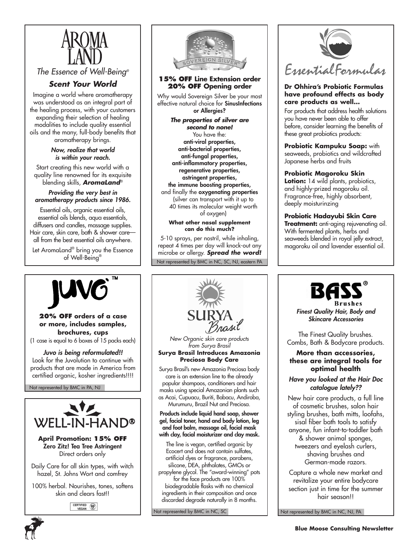

*The Essence of Well-Being®*

### *Scent Your World*

Imagine a world where aromatherapy was understood as an integral part of the healing process, with your customers expanding their selection of healing modalities to include quality essential oils and the many, full-body benefits that aromatherapy brings.

> *Now, realize that world is within your reach.*

Start creating this new world with a quality line renowned for its exquisite blending skills, *AromaLand*®

### *Providing the very best in aromatherapy products since 1986.*

Essential oils, organic essential oils, essential oils blends, aqua essentials, diffusers and candles, massage supplies. Hair care, skin care, bath & shower care all from the best essential oils anywhere.

Let AromaLand® bring you the Essence of Well-Being®



### **15% OFF Line Extension order 20% OFF Opening order**

Why would Sovereign Silver be your most effective natural choice for **SinusInfections or Allergies?**

*The properties of silver are second to none!* You have the: **anti-viral properties, anti-bacterial properties, anti-fungal properties, anti-inflammatory properties, regenerative properties, astringent properties, the immune boosting properties,** and finally the **oxygenating properties** (silver can transport with it up to 40 times its molecular weight worth

of oxygen) **What other nasal supplement** 

**can do this much?**

Not represented by BMC in NC, SC, NJ, eastern PA 5-10 sprays, per nostril, while inhaling, repeat 4 times per day will knock-out any microbe or allergy. *Spread the word!*



#### **Dr Ohhira's Probiotic Formulas have profound effects as body care products as well…**

For products that address health solutions you have never been able to offer before, consider learning the benefits of these great probiotics products:

**Probiotic Kampuku Soap:** with seaweeds, probiotics and wildcrafted Japanese herbs and fruits

### **Probiotic Magoroku Skin**

**Lotion:** 14 wild plants, probiotics, and highly-prized magoroku oil. Fragrance-free, highly absorbent, deeply moisturinzing

### **Probiotic Hadayubi Skin Care**

**Treatment:** anti-aging rejuvenating oil. With fermented plants, herbs and seaweeds blended in royal jelly extract, magoroku oil and lavender essential oil.



**20% OFF** orders of a case  $\blacksquare$  **20% OFF** orders of a case  $\blacksquare$  **2014 2008 2008 2008 2008 2008 2008 2008 2008 2008 2008 2008 2008 2008 2008 2008 2008 2008 2008 2008 2008 2008 or more, includes samples, brochures, cups** (1 case is equal to 6 boxes of 15 packs each)

*Juvo is being reformulated!!* Look for the Juvolution to continue with products that are made in America from certified organic, kosher ingredients!!!!

Not represented by BMC in PA, NJ



**April Promotion: 15% OFF Zero Zitz! Tea Tree Astringent**  Direct orders only

Daily Care for all skin types, with witch hazel, St. Johns Wort and comfrey

100% herbal. Nourishes, tones, softens skin and clears fast!!

CERTIFIED (V)



*New Organic skin care products from Surya Brasil* **Surya Brasil Introduces Amazonia Preciosa Body Care**

Surya Brasil's new Amazonia Preciosa body care is an extension line to the already popular shampoos, conditioners and hair masks using special Amazonian plants such as Acai, Cupuacu, Buriti, Babacu, Andiroba, Murumuru, Brazil Nut and Preciosa.

**Products include liquid hand soap, shower gel, facial toner, hand and body lotion, leg and foot balm, massage oil, facial mask with clay, facial moisturizer and clay mask.** 

The line is vegan, certified organic by Ecocert and does not contain sulfates, artificial dyes or fragrance, parabens, silicone, DEA, phthalates, GMOs or propylene glycol. The "award-winning" pots for the face products are 100% biodegradable flasks with no chemical ingredients in their composition and once discarded degrade naturally in 8 months.

Not represented by BMC in NC, SC



*Finest Quality Hair, Body and*

The Finest Quality brushes. Combs, Bath & Bodycare products.

### **More than accessories, these are integral tools for optimal health**

#### *Have you looked at the Hair Doc catalogue lately??*

New hair care products, a full line of cosmetic brushes, salon hair styling brushes, bath mitts, loofahs, sisal fiber bath tools to satisfy anyone, fun infant-to-toddler bath & shower animal sponges, tweezers and eyelash curlers, shaving brushes and German-made razors.

Capture a whole new market and revitalize your entire bodycare section just in time for the summer hair season!!

Not represented by BMC in NC, NJ, PA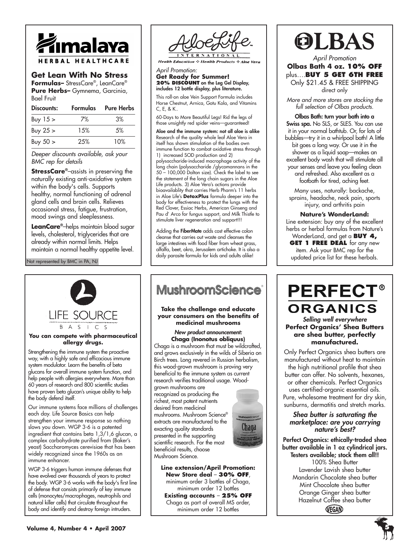

### **Get Lean With No Stress**

**Formulas–** StressCare® , LeanCare® **Pure Herbs–** Gymnema, Garcinia, Bael Fruit

| Discounts:   | Formulas | Pure Herbs |
|--------------|----------|------------|
| Buy $15 \ge$ | 7%       | 3%         |
| Buy $25 >$   | 1.5%     | .5%        |
| Buy $50 >$   | 25%      | 10%        |

*Deeper discounts available, ask your BMC rep for details*

**StressCare®** –assists in preserving the naturally existing anti-oxidative system within the body's cells. Supports healthy, normal functioning of adrenal gland cells and brain cells. Relieves occasional stress, fatigue, frustration, mood swings and sleeplessness.

**LeanCare®** –helps maintain blood sugar levels, cholesterol, triglycerides that are already within normal limits. Helps maintain a normal healthy appetite level.

Not represented by BMC in PA, NJ



#### **You can compete with pharmaceutical allergy drugs.**

Strengthening the immune system the proactive way, with a highly safe and efficacious immune system modulator. Learn the benefits of beta glucans for overall immune system function, and help people with allergies everywhere. More than 60 years of research and 800 scientific studies have proven beta glucan's unique ability to help the body defend itself.

Our immune systems face millions of challenges each day. Life Source Basics can help strengthen your immune response so nothing slows you down. WGP 3-6 is a patented ingredient that contains beta 1,3/1,6 glucan, a complex carbohydrate purified from (Baker's yeast) Saccharomyces cerevisiae that has been widely recognized since the 1960s as an immune enhancer.

WGP 3-6 triggers human immune defenses that have evolved over thousands of years to protect the body. WGP 3-6 works with the body's first line of defense that consists primarily of key immune cells (monocytes/macrophages, neutrophils and natural killer cells) that circulate throughout the body and identify and destroy foreign intruders.



**Health Education**  $\Diamond$  **Health Products**  $\Diamond$  **Aloe Vera** 

*April Promotion:*  **Get Ready for Summer! 20% DISCOUNT on the Leg Gel Display, includes 12 bottle display, plus literature.**

This roll-on aloe Vein Support Formula includes Horse Chestnut, Arnica, Gotu Kola, and Vitamins C, E, & K..

60-Days to More Beautiful Legs! Rid the legs of those unsightly red spider veins—guaranteed!

**Aloe and the immune system: not all aloe is alike** Research of the quality whole leaf Aloe Vera in itself has shown stimulation of the bodies own immune function to combat oxidative stress through 1) increased SOD production and 2) polysaccharide-induced macrophage activity of the long chain (polysaccharide /glycomannans in the 50 – 100,000 Dalton size). Check the label to see the statement of the long chain sugars in the Aloe Life products. 3) Aloe Vera's actions provide bioavailablity that carries Herb Pharm's 11 herbs in Aloe Life's **DetoxPlus** formula deeper into the body for effectiveness to protect the lungs with the Red Clover, Essiac Herbs, American Ginseng and Pau d' Arco for fungus support, and Milk Thistle to stimulate liver regeneration and support!!!

Adding the **FiberMate** adds cost effective colon cleanse that carries out waste and cleanses the large intestines with food fiber from wheat grass, alfalfa, beet, okra, Jerusalem artichoke. It is also a daily parasite formula for kids and adults alike!

### **MushroomScience**®

**Take the challenge and educate your consumers on the benefits of medicinal mushrooms**

#### *New product announcement:* **Chaga (Inonotus obliquus)**

Chaga is a mushroom that must be wildcrafted, and grows exclusively in the wilds of Siberia on Birch trees. Long revered in Russian herbalism, this wood-grown mushroom is proving very beneficial to the immune system as current research verifies traditional usage. Wood-

grown mushrooms are recognized as producing the richest, most potent nutrients desired from medicinal mushrooms. Mushroom Science® extracts are manufactured to the exacting quality standards presented in the supporting scientific research. For the most beneficial results, choose Mushroom Science.



**Line extension/April Promotion: New Store deal** – **30% OFF**, minimum order 3 bottles of Chaga, minimum order 12 bottles **Existing accounts** – **25% OFF** Chaga as part of overall MS order, minimum order 12 bottles



*April Promotion* **Olbas Bath 4 oz. 10% OFF**  plus….**BUY 5 GET 6TH FREE** Only \$21.45 & FREE SHIPPING direct only

*More and more stores are stocking the full selection of Olbas products.*

**Olbas Bath: turn your bath into a Swiss spa.** No SLS, or SLES. You can use it in your normal bathtub. Or, for lots of bubbles—try it in a whirlpool bath! A little bit goes a long way. Or use it in the shower as a liquid soap—makes an excellent body wash that will stimulate all your senses and leave you feeling clean and refreshed. Also excellent as a footbath for tired, aching feet.

Many uses, naturally: backache, sprains, headache, neck pain, sports injury, and arthritis pain

#### **Nature's WonderLand:**

Line extension: buy any of the excellent herbs or herbal formulas from Nature's WonderLand, and get a **BUY 4,**

**GET 1 FREE DEAL** for any new item. Ask your BMC rep for the updated price list for these herbals.

### **PERFECT® ORGANICS** *Selling well everywhere*

**Perfect Organics' Shea Butters are shea butter, perfectly manufactured.**

Only Perfect Organics shea butters are manufactured without heat to maintain the high nutritional profile that shea butter can offer. No solvents, hexanes, or other chemicals. Perfect Organics uses certified-organic essential oils. Pure, wholesome treatment for dry skin, sunburns, dermatitis and stretch marks.

#### *Shea butter is saturating the marketplace: are you carrying nature's best?*

**Perfect Organics: ethically-traded shea butter available in 1 oz cylindrical jars. Testers available; stock them all!!** 100% Shea Butter Lavender Lavish shea butter Mandarin Chocolate shea butter Mint Chocolate shea butter Orange Ginger shea butter Hazelnut Coffee shea butterVEGAN

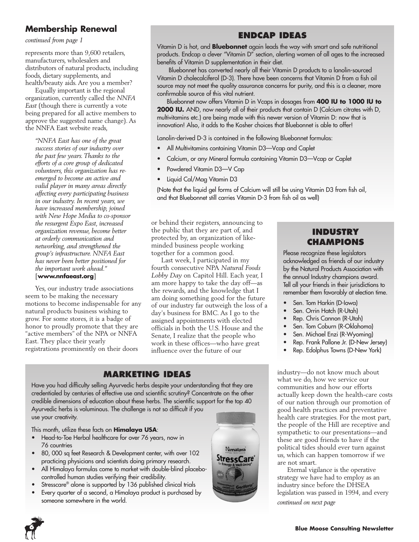### **Membership Renewal**

*continued from page 1*

represents more than 9,600 retailers, manufacturers, wholesalers and distributors of natural products, including foods, dietary supplements, and health/beauty aids. Are you a member?

Equally important is the regional organization, currently called the *NNFA East* (though there is currently a vote being prepared for all active members to approve the suggested name change). As the NNFA East website reads,

*"NNFA East has one of the great success stories of our industry over the past few years. Thanks to the efforts of a core group of dedicated volunteers, this organization has reemerged to become an active and valid player in many areas directly affecting every participating business in our industry. In recent years, we have increased membership, joined with New Hope Media to co-sponsor the resurgent Expo East, increased organization revenue, become better at orderly communication and networking, and strengthened the group's infrastructure. NNFA East has never been better positioned for the important work ahead."* [**www.nnfaeast.org**]

Yes, our industry trade associations seem to be making the necessary motions to become indispensable for any natural products business wishing to grow. For some stores, it is a badge of honor to proudly promote that they are "active members" of the NPA or NNFA East. They place their yearly registrations prominently on their doors

### **ENDCAP IDEAS**

Vitamin D is hot, and **Bluebonnet** again leads the way with smart and safe nutritional products. Endcap a clever "Vitamin D" section, alerting women of all ages to the increased benefits of Vitamin D supplementation in their diet.

Bluebonnet has converted nearly all their Vitamin D products to a lanolin-sourced Vitamin D cholecalciferol (D-3). There have been concerns that Vitamin D from a fish oil source may not meet the quality assurance concerns for purity, and this is a cleaner, more confirmable source of this vital nutrient.

Bluebonnet now offers Vitamin D in Vcaps in dosages from **400 IU to 1000 IU to 2000 IU.** AND, now nearly all of their products that contain D (Calcium citrates with D, multivitamins etc.) are being made with this newer version of Vitamin D: now that is innovation! Also, it adds to the Kosher choices that Bluebonnet is able to offer!

Lanolin-derived D-3 is contained in the following Bluebonnet formulas:

- All Multivitamins containing Vitamin D3—Vcap and Caplet
- Calcium, or any Mineral formula containing Vitamin D3—Vcap or Caplet
- Powdered Vitamin D3—V Cap
- Liquid Cal/Mag Vitamin D3

(Note that the liquid gel forms of Calcium will still be using Vitamin D3 from fish oil, and that Bluebonnet still carries Vitamin D-3 from fish oil as well)

or behind their registers, announcing to the public that they are part of, and protected by, an organization of likeminded business people working together for a common good.

Last week, I participated in my fourth consecutive NPA *Natural Foods Lobby Day* on Capitol Hill. Each year, I am more happy to take the day off—as the rewards, and the knowledge that I am doing something good for the future of our industry far outweigh the loss of a day's business for BMC. As I go to the assigned appointments with elected officials in both the U.S. House and the Senate, I realize that the people who work in these offices—who have great influence over the future of our

### **MARKETING IDEAS**

Have you had difficulty selling Ayurvedic herbs despite your understanding that they are credentialed by centuries of effective use and scientific scrutiny? Concentrate on the other credible dimensions of education about these herbs. The scientific support for the top 40 Ayurvedic herbs is voluminous. The challenge is not so difficult if you use your creativity.

This month, utilize these facts on **Himalaya USA**:

- Head-to-Toe Herbal healthcare for over 76 years, now in 76 countries
- 80, 000 sq feet Research & Development center, with over 102 practicing physicians and scientists doing primary research.
- All Himalaya formulas come to market with double-blind placebocontrolled human studies verifying their credibility.
- Stresscare<sup>®</sup> alone is supported by 136 published clinical trials
- Every quarter of a second, a Himalaya product is purchased by someone somewhere in the world.



### **INDUSTRY CHAMPIONS**

Please recognize these legislators acknowledged as friends of our industry by the Natural Products Association with the annual Industry champions award. Tell all your friends in their jurisdictions to remember them favorably at election time.

- Sen. Tom Harkin (D-lowa)
- Sen. Orrin Hatch (R-Utah)
- Rep. Chris Cannon (R-Utah)
- Sen. Tom Coburn (R-Oklahoma)
- Sen. Michael Enzi (R-Wyoming)
- Rep. Frank Pallone Jr. (D-New Jersey)
- Rep. Edolphus Towns (D-New York)

industry—do not know much about what we do, how we service our communities and how our efforts actually keep down the health-care costs of our nation through our promotion of good health practices and preventative health care strategies. For the most part, the people of the Hill are receptive and sympathetic to our presentations—and these are good friends to have if the political tides should ever turn against us, which can happen tomorrow if we are not smart.

Eternal vigilance is the operative strategy we have had to employ as an industry since before the DHSEA legislation was passed in 1994, and every *continued on next page*

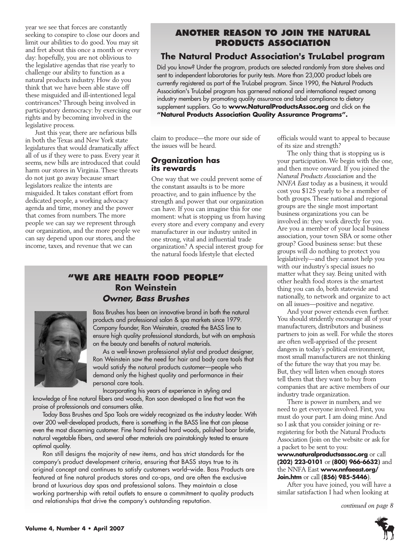year we see that forces are constantly seeking to conspire to close our doors and limit our abilities to do good. You may sit and fret about this once a month or every day: hopefully, you are not oblivious to the legislative agendas that rise yearly to challenge our ability to function as a natural products industry. How do you think that we have been able stave off these misguided and ill-intentioned legal contrivances? Through being involved in participatory democracy: by exercising our rights and by becoming involved in the legislative process.

Just this year, there are nefarious bills in both the Texas and New York state legislatures that would dramatically affect all of us if they were to pass. Every year it seems, new bills are introduced that could harm our stores in Virginia. These threats do not just go away because smart legislators realize the intents are misguided. It takes constant effort from dedicated people, a working advocacy agenda and time, money and the power that comes from numbers. The more people we can say we represent through our organization, and the more people we can say depend upon our stores, and the income, taxes, and revenue that we can

### **ANOTHER REASON TO JOIN THE NATURAL PRODUCTS ASSOCIATION**

### **The Natural Product Association's TruLabel program**

Did you know? Under the program, products are selected randomly from store shelves and sent to independent laboratories for purity tests. More than 23,000 product labels are currently registered as part of the TruLabel program. Since 1990, the Natural Products Association's TruLabel program has garnered national and international respect among industry members by promoting quality assurance and label compliance to dietary supplement suppliers. Go to **www.NaturalProductsAssoc.org** and click on the **"Natural Products Association Quality Assurance Programs".**

claim to produce—the more our side of the issues will be heard.

### **Organization has its rewards**

One way that we could prevent some of the constant assaults is to be more proactive, and to gain influence by the strength and power that our organization can have. If you can imagine this for one moment: what is stopping us from having every store and every company and every manufacturer in our industry united in one strong, vital and influential trade organization? A special interest group for the natural foods lifestyle that elected

### **"WE ARE HEALTH FOOD PEOPLE" Ron Weinstein** *Owner, Bass Brushes*



Bass Brushes has been an innovative brand in both the natural products and professional salon & spa markets since 1979. Company founder, Ron Weinstein, created the BASS line to ensure high quality professional standards, but with an emphasis on the beauty and benefits of natural materials.

As a well-known professional stylist and product designer, Ron Weinstein saw the need for hair and body care tools that would satisfy the natural products customer—people who demand only the highest quality and performance in their personal care tools.

Incorporating his years of experience in styling and knowledge of fine natural fibers and woods, Ron soon developed a line that won the praise of professionals and consumers alike.

Today Bass Brushes and Spa Tools are widely recognized as the industry leader. With over 200 well-developed products, there is something in the BASS line that can please even the most discerning customer. Fine hand finished hard woods, polished boar bristle, natural vegetable fibers, and several other materials are painstakingly tested to ensure optimal quality.

Ron still designs the majority of new items, and has strict standards for the company's product development criteria, ensuring that BASS stays true to its original concept and continues to satisfy customers world–wide. Bass Products are featured at fine natural products stores and co-ops, and are often the exclusive brand at luxurious day spas and professional salons. They maintain a close working partnership with retail outlets to ensure a commitment to quality products and relationships that drive the company's outstanding reputation.<br> *continued on page 8* 

officials would want to appeal to because of its size and strength?

The only thing that is stopping us is your participation. We begin with the one, and then move onward. If you joined the *Natural Products Association* and the *NNFA East* today as a business, it would cost you \$125 yearly to be a member of both groups. These national and regional groups are the single most important business organizations you can be involved in: they work directly for you. Are you a member of your local business association, your town SBA or some other group? Good business sense: but these groups will do nothing to protect you legislatively—and they cannot help you with our industry's special issues no matter what they say. Being united with other health food stores is the smartest thing you can do, both statewide and nationally, to network and organize to act on all issues—positive and negative.

And your power extends even further. You should stridently encourage all of your manufacturers, distributors and business partners to join as well. For while the stores are often well-apprised of the present dangers in today's political environment, most small manufacturers are not thinking of the future the way that you may be. But, they will listen when enough stores tell them that they want to buy from companies that are active members of our industry trade organization.

There is power in numbers, and we need to get everyone involved. First, you must do your part. I am doing mine. And so I ask that you consider joining or reregistering for both the Natural Products Association (join on the website or ask for a packet to be sent to you:

#### **www.naturalproductsassoc.org** or call **(202) 223-0101** or **(800) 966-6632)** and the NNFA East **www.nnfaeast.org/ Join.htm** or call **(856) 985-5446**).

After you have joined, you will have a similar satisfaction I had when looking at